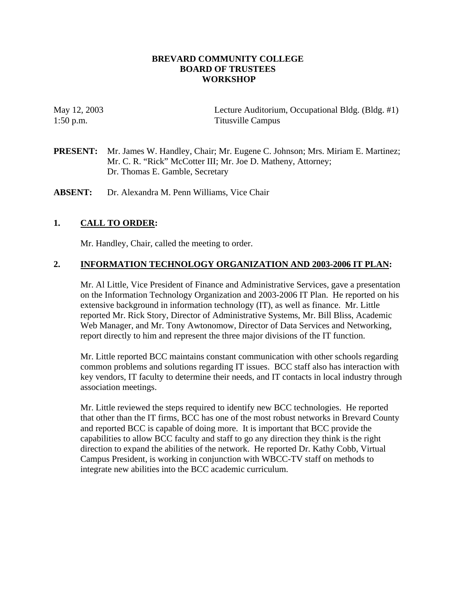#### **BREVARD COMMUNITY COLLEGE BOARD OF TRUSTEES WORKSHOP**

May 12, 2003 Lecture Auditorium, Occupational Bldg. (Bldg. #1) 1:50 p.m. Titusville Campus

**PRESENT:** Mr. James W. Handley, Chair; Mr. Eugene C. Johnson; Mrs. Miriam E. Martinez; Mr. C. R. "Rick" McCotter III; Mr. Joe D. Matheny, Attorney; Dr. Thomas E. Gamble, Secretary

**ABSENT:** Dr. Alexandra M. Penn Williams, Vice Chair

### **1. CALL TO ORDER:**

Mr. Handley, Chair, called the meeting to order.

### **2. INFORMATION TECHNOLOGY ORGANIZATION AND 2003-2006 IT PLAN:**

Mr. Al Little, Vice President of Finance and Administrative Services, gave a presentation on the Information Technology Organization and 2003-2006 IT Plan. He reported on his extensive background in information technology (IT), as well as finance. Mr. Little reported Mr. Rick Story, Director of Administrative Systems, Mr. Bill Bliss, Academic Web Manager, and Mr. Tony Awtonomow, Director of Data Services and Networking, report directly to him and represent the three major divisions of the IT function.

Mr. Little reported BCC maintains constant communication with other schools regarding common problems and solutions regarding IT issues. BCC staff also has interaction with key vendors, IT faculty to determine their needs, and IT contacts in local industry through association meetings.

Mr. Little reviewed the steps required to identify new BCC technologies. He reported that other than the IT firms, BCC has one of the most robust networks in Brevard County and reported BCC is capable of doing more. It is important that BCC provide the capabilities to allow BCC faculty and staff to go any direction they think is the right direction to expand the abilities of the network. He reported Dr. Kathy Cobb, Virtual Campus President, is working in conjunction with WBCC-TV staff on methods to integrate new abilities into the BCC academic curriculum.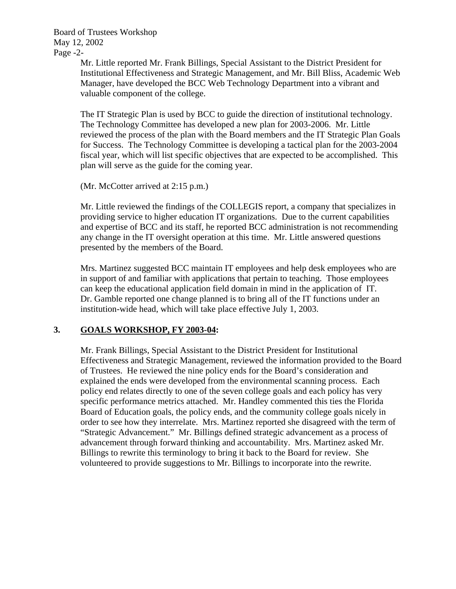Board of Trustees Workshop May 12, 2002

Page -2-

Mr. Little reported Mr. Frank Billings, Special Assistant to the District President for Institutional Effectiveness and Strategic Management, and Mr. Bill Bliss, Academic Web Manager, have developed the BCC Web Technology Department into a vibrant and valuable component of the college.

The IT Strategic Plan is used by BCC to guide the direction of institutional technology. The Technology Committee has developed a new plan for 2003-2006. Mr. Little reviewed the process of the plan with the Board members and the IT Strategic Plan Goals for Success. The Technology Committee is developing a tactical plan for the 2003-2004 fiscal year, which will list specific objectives that are expected to be accomplished. This plan will serve as the guide for the coming year.

(Mr. McCotter arrived at 2:15 p.m.)

Mr. Little reviewed the findings of the COLLEGIS report, a company that specializes in providing service to higher education IT organizations. Due to the current capabilities and expertise of BCC and its staff, he reported BCC administration is not recommending any change in the IT oversight operation at this time. Mr. Little answered questions presented by the members of the Board.

Mrs. Martinez suggested BCC maintain IT employees and help desk employees who are in support of and familiar with applications that pertain to teaching. Those employees can keep the educational application field domain in mind in the application of IT. Dr. Gamble reported one change planned is to bring all of the IT functions under an institution-wide head, which will take place effective July 1, 2003.

### **3. GOALS WORKSHOP, FY 2003-04:**

Mr. Frank Billings, Special Assistant to the District President for Institutional Effectiveness and Strategic Management, reviewed the information provided to the Board of Trustees. He reviewed the nine policy ends for the Board's consideration and explained the ends were developed from the environmental scanning process. Each policy end relates directly to one of the seven college goals and each policy has very specific performance metrics attached. Mr. Handley commented this ties the Florida Board of Education goals, the policy ends, and the community college goals nicely in order to see how they interrelate. Mrs. Martinez reported she disagreed with the term of "Strategic Advancement." Mr. Billings defined strategic advancement as a process of advancement through forward thinking and accountability. Mrs. Martinez asked Mr. Billings to rewrite this terminology to bring it back to the Board for review. She volunteered to provide suggestions to Mr. Billings to incorporate into the rewrite.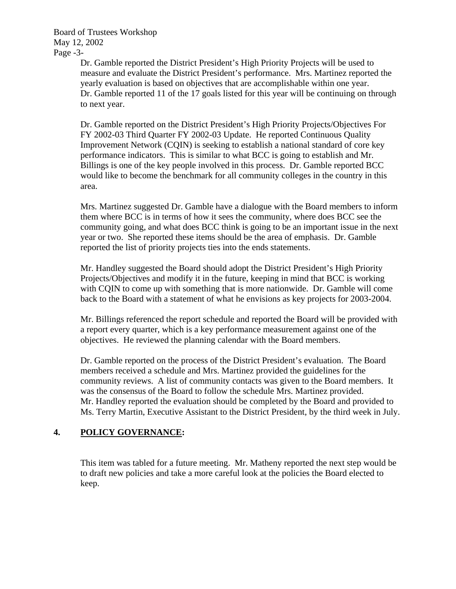Board of Trustees Workshop May 12, 2002

Page -3-

Dr. Gamble reported the District President's High Priority Projects will be used to measure and evaluate the District President's performance. Mrs. Martinez reported the yearly evaluation is based on objectives that are accomplishable within one year. Dr. Gamble reported 11 of the 17 goals listed for this year will be continuing on through to next year.

Dr. Gamble reported on the District President's High Priority Projects/Objectives For FY 2002-03 Third Quarter FY 2002-03 Update. He reported Continuous Quality Improvement Network (CQIN) is seeking to establish a national standard of core key performance indicators. This is similar to what BCC is going to establish and Mr. Billings is one of the key people involved in this process. Dr. Gamble reported BCC would like to become the benchmark for all community colleges in the country in this area.

Mrs. Martinez suggested Dr. Gamble have a dialogue with the Board members to inform them where BCC is in terms of how it sees the community, where does BCC see the community going, and what does BCC think is going to be an important issue in the next year or two. She reported these items should be the area of emphasis. Dr. Gamble reported the list of priority projects ties into the ends statements.

Mr. Handley suggested the Board should adopt the District President's High Priority Projects/Objectives and modify it in the future, keeping in mind that BCC is working with CQIN to come up with something that is more nationwide. Dr. Gamble will come back to the Board with a statement of what he envisions as key projects for 2003-2004.

Mr. Billings referenced the report schedule and reported the Board will be provided with a report every quarter, which is a key performance measurement against one of the objectives. He reviewed the planning calendar with the Board members.

Dr. Gamble reported on the process of the District President's evaluation. The Board members received a schedule and Mrs. Martinez provided the guidelines for the community reviews. A list of community contacts was given to the Board members. It was the consensus of the Board to follow the schedule Mrs. Martinez provided. Mr. Handley reported the evaluation should be completed by the Board and provided to Ms. Terry Martin, Executive Assistant to the District President, by the third week in July.

## **4. POLICY GOVERNANCE:**

This item was tabled for a future meeting. Mr. Matheny reported the next step would be to draft new policies and take a more careful look at the policies the Board elected to keep.